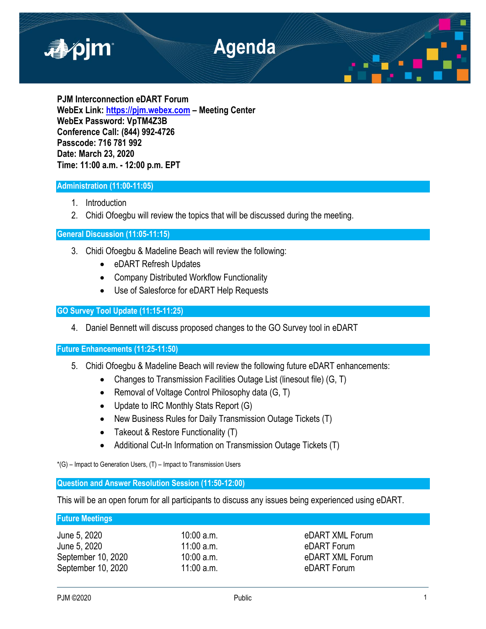

**PJM Interconnection eDART Forum WebEx Link: [https://pjm.webex.com](https://pjm.webex.com/) – Meeting Center WebEx Password: VpTM4Z3B Conference Call: (844) 992-4726 Passcode: 716 781 992 Date: March 23, 2020 Time: 11:00 a.m. - 12:00 p.m. EPT**

## **Administration (11:00-11:05)**

- 1. Introduction
- 2. Chidi Ofoegbu will review the topics that will be discussed during the meeting.

## **General Discussion (11:05-11:15)**

- 3. Chidi Ofoegbu & Madeline Beach will review the following:
	- eDART Refresh Updates
	- Company Distributed Workflow Functionality
	- Use of Salesforce for eDART Help Requests

# **GO Survey Tool Update (11:15-11:25)**

4. Daniel Bennett will discuss proposed changes to the GO Survey tool in eDART

## **Future Enhancements (11:25-11:50)**

- 5. Chidi Ofoegbu & Madeline Beach will review the following future eDART enhancements:
	- Changes to Transmission Facilities Outage List (linesout file) (G, T)
	- Removal of Voltage Control Philosophy data (G, T)
	- Update to IRC Monthly Stats Report (G)
	- New Business Rules for Daily Transmission Outage Tickets (T)
	- Takeout & Restore Functionality (T)
	- Additional Cut-In Information on Transmission Outage Tickets (T)

\*(G) – Impact to Generation Users, (T) – Impact to Transmission Users

## **Question and Answer Resolution Session (11:50-12:00)**

This will be an open forum for all participants to discuss any issues being experienced using eDART.

### **Future Meetings**

| June 5, 2020       |  |
|--------------------|--|
| June 5, 2020       |  |
| September 10, 2020 |  |
| September 10, 2020 |  |

 $10:00$  a.m. eDART XML Forum 11:00 a.m. both 5, 2020 a.m. eDART Forum 10:00 a.m. eDART XML Forum 11:00 a.m. eDART Forum